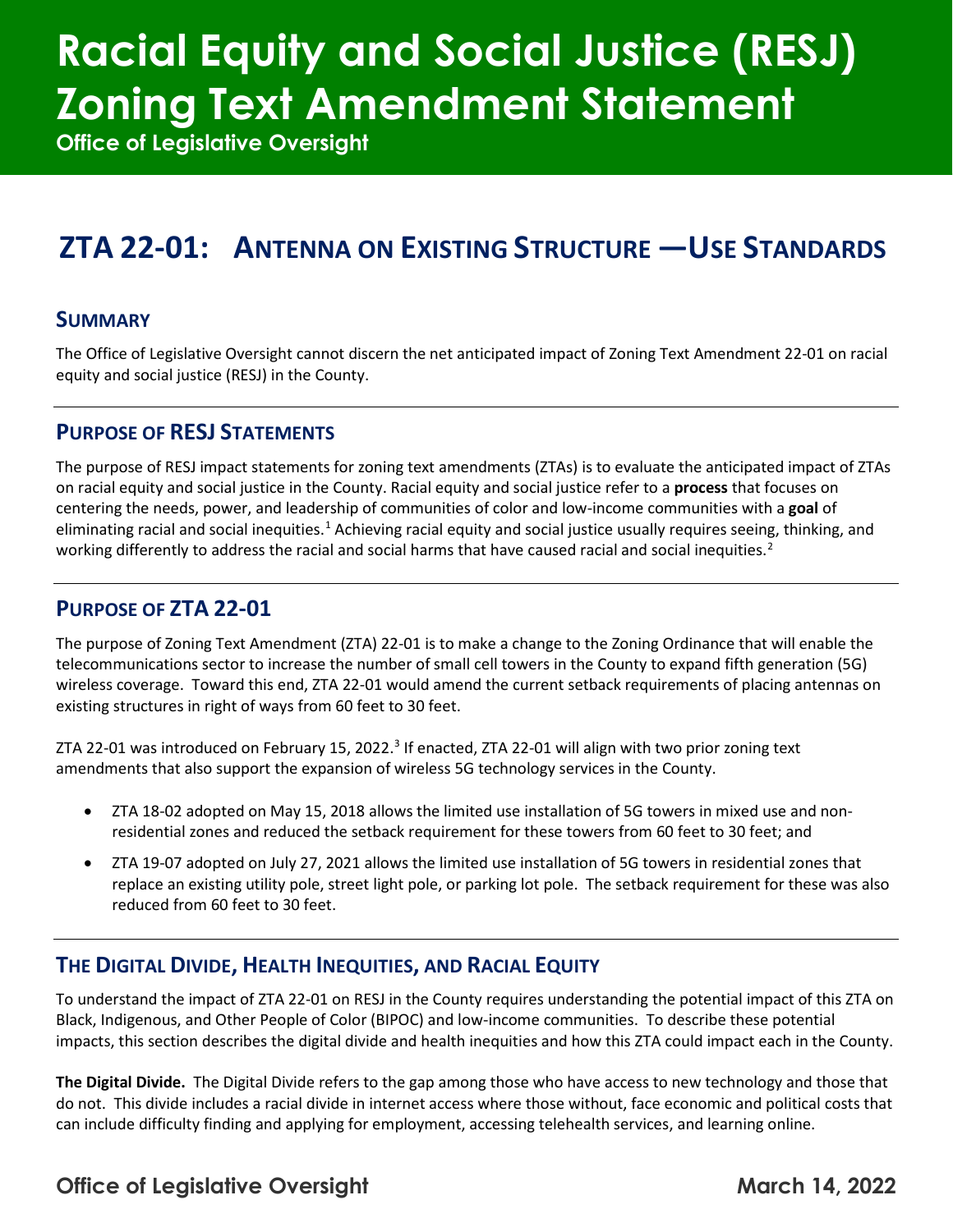# **Racial Equity and Social Justice (RESJ) Zoning Text Amendment Statement**

**Office of Legislative Oversight**

### **ZTA 22-01: ANTENNA ON EXISTING STRUCTURE —USE STANDARDS**

#### **SUMMARY**

The Office of Legislative Oversight cannot discern the net anticipated impact of Zoning Text Amendment 22-01 on racial equity and social justice (RESJ) in the County.

#### **PURPOSE OF RESJ STATEMENTS**

The purpose of RESJ impact statements for zoning text amendments (ZTAs) is to evaluate the anticipated impact of ZTAs on racial equity and social justice in the County. Racial equity and social justice refer to a **process** that focuses on centering the needs, power, and leadership of communities of color and low-income communities with a **goal** of eliminating racial and social inequities.<sup>[1](#page-2-0)</sup> Achieving racial equity and social justice usually requires seeing, thinking, and working differently to address the racial and social harms that have caused racial and social inequities.<sup>[2](#page-2-1)</sup>

#### **PURPOSE OF ZTA 22-01**

The purpose of Zoning Text Amendment (ZTA) 22-01 is to make a change to the Zoning Ordinance that will enable the telecommunications sector to increase the number of small cell towers in the County to expand fifth generation (5G) wireless coverage. Toward this end, ZTA 22-01 would amend the current setback requirements of placing antennas on existing structures in right of ways from 60 feet to 30 feet.

ZTA 22-01 was introduced on February 15, 2022.<sup>[3](#page-2-2)</sup> If enacted, ZTA 22-01 will align with two prior zoning text amendments that also support the expansion of wireless 5G technology services in the County.

- ZTA 18-02 adopted on May 15, 2018 allows the limited use installation of 5G towers in mixed use and nonresidential zones and reduced the setback requirement for these towers from 60 feet to 30 feet; and
- ZTA 19-07 adopted on July 27, 2021 allows the limited use installation of 5G towers in residential zones that replace an existing utility pole, street light pole, or parking lot pole. The setback requirement for these was also reduced from 60 feet to 30 feet.

#### **THE DIGITAL DIVIDE, HEALTH INEQUITIES, AND RACIAL EQUITY**

To understand the impact of ZTA 22-01 on RESJ in the County requires understanding the potential impact of this ZTA on Black, Indigenous, and Other People of Color (BIPOC) and low-income communities. To describe these potential impacts, this section describes the digital divide and health inequities and how this ZTA could impact each in the County.

**The Digital Divide.** The Digital Divide refers to the gap among those who have access to new technology and those that do not. This divide includes a racial divide in internet access where those without, face economic and political costs that can include difficulty finding and applying for employment, accessing telehealth services, and learning online.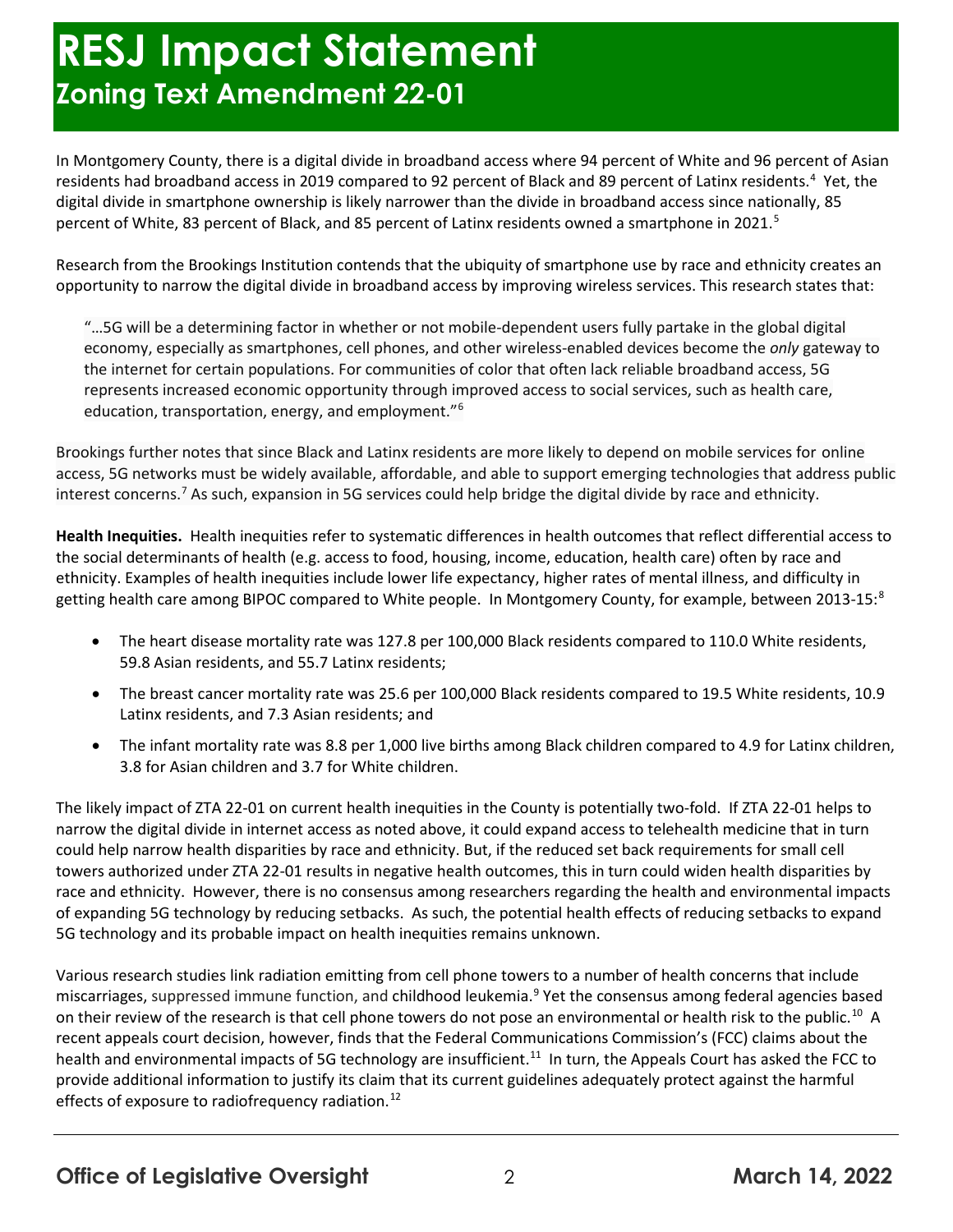## **RESJ Impact Statement Zoning Text Amendment 22-01**

In Montgomery County, there is a digital divide in broadband access where 94 percent of White and 96 percent of Asian residents had broadband access in 2019 compared to 92 percent of Black and 89 percent of Latinx residents.<sup>[4](#page-2-3)</sup> Yet, the digital divide in smartphone ownership is likely narrower than the divide in broadband access since nationally, 85 percent of White, 83 percent of Black, and 8[5](#page-2-4) percent of Latinx residents owned a smartphone in 2021.<sup>5</sup>

Research from the Brookings Institution contends that the ubiquity of smartphone use by race and ethnicity creates an opportunity to narrow the digital divide in broadband access by improving wireless services. This research states that:

"…5G will be a determining factor in whether or not mobile-dependent users fully partake in the global digital economy, especially as smartphones, cell phones, and other wireless-enabled devices become the *only* gateway to the internet for certain populations. For communities of color that often lack reliable broadband access, 5G represents increased economic opportunity through improved access to social services, such as health care, education, transportation, energy, and employment.["6](#page-2-5)

Brookings further notes that since Black and Latinx residents are more likely to depend on mobile services for online access, 5G networks must be widely available, affordable, and able to support emerging technologies that address public interest concerns.[7](#page-2-6) As such, expansion in 5G services could help bridge the digital divide by race and ethnicity.

**Health Inequities.** Health inequities refer to systematic differences in health outcomes that reflect differential access to the social determinants of health (e.g. access to food, housing, income, education, health care) often by race and ethnicity. Examples of health inequities include lower life expectancy, higher rates of mental illness, and difficulty in getting health care among BIPOC compared to White people. In Montgomery County, for example, between 2013-15:[8](#page-2-7)

- The heart disease mortality rate was 127.8 per 100,000 Black residents compared to 110.0 White residents, 59.8 Asian residents, and 55.7 Latinx residents;
- The breast cancer mortality rate was 25.6 per 100,000 Black residents compared to 19.5 White residents, 10.9 Latinx residents, and 7.3 Asian residents; and
- The infant mortality rate was 8.8 per 1,000 live births among Black children compared to 4.9 for Latinx children, 3.8 for Asian children and 3.7 for White children.

The likely impact of ZTA 22-01 on current health inequities in the County is potentially two-fold. If ZTA 22-01 helps to narrow the digital divide in internet access as noted above, it could expand access to telehealth medicine that in turn could help narrow health disparities by race and ethnicity. But, if the reduced set back requirements for small cell towers authorized under ZTA 22-01 results in negative health outcomes, this in turn could widen health disparities by race and ethnicity. However, there is no consensus among researchers regarding the health and environmental impacts of expanding 5G technology by reducing setbacks. As such, the potential health effects of reducing setbacks to expand 5G technology and its probable impact on health inequities remains unknown.

Various research studies link radiation emitting from cell phone towers to a number of health concerns that include miscarriages, suppressed immune function, and childhood leukemia. [9](#page-2-8) Yet the consensus among federal agencies based on their review of the research is that cell phone towers do not pose an environmental or health risk to the public.<sup>[10](#page-2-9)</sup> A recent appeals court decision, however, finds that the Federal Communications Commission's (FCC) claims about the health and environmental impacts of 5G technology are insufficient.<sup>11</sup> In turn, the Appeals Court has asked the FCC to provide additional information to justify its claim that its current guidelines adequately protect against the harmful effects of exposure to radiofrequency radiation.<sup>[12](#page-2-11)</sup>